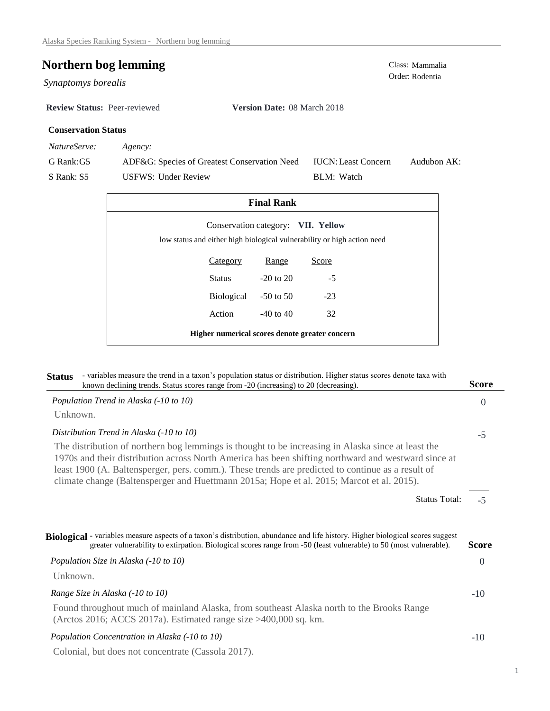## **Northern bog lemming**<br>Class: Mammalia<br>Order: Rodentia

Synaptomys borealis

**Review Status:** Peer-reviewed **Version Date:** 08 March 2018

## **Conservation Status**

*NatureServe: Agency:*

G Rank:G5

S Rank: S5

ADF&G: Species of Greatest Conservation Need USFWS: Under Review Audubon AK: BLM: Watch IUCN:Least Concern

| <b>Final Rank</b>                                                                                             |               |       |  |  |  |
|---------------------------------------------------------------------------------------------------------------|---------------|-------|--|--|--|
| Conservation category: VII. Yellow<br>low status and either high biological vulnerability or high action need |               |       |  |  |  |
| <b>Category</b>                                                                                               | <u>Range</u>  | Score |  |  |  |
| Status                                                                                                        | $-20$ to $20$ | $-5$  |  |  |  |
| Biological                                                                                                    | $-50$ to $50$ | $-23$ |  |  |  |
| Action                                                                                                        | $-40$ to $40$ | 32    |  |  |  |
| Higher numerical scores denote greater concern                                                                |               |       |  |  |  |

| - variables measure the trend in a taxon's population status or distribution. Higher status scores denote taxa with<br><b>Status</b><br>known declining trends. Status scores range from -20 (increasing) to 20 (decreasing).                                                                                                                                                                               | <b>Score</b>   |
|-------------------------------------------------------------------------------------------------------------------------------------------------------------------------------------------------------------------------------------------------------------------------------------------------------------------------------------------------------------------------------------------------------------|----------------|
| Population Trend in Alaska (-10 to 10)                                                                                                                                                                                                                                                                                                                                                                      | $\overline{0}$ |
| Unknown.                                                                                                                                                                                                                                                                                                                                                                                                    |                |
| Distribution Trend in Alaska (-10 to 10)                                                                                                                                                                                                                                                                                                                                                                    | $-5$           |
| The distribution of northern bog lemmings is thought to be increasing in Alaska since at least the<br>1970s and their distribution across North America has been shifting northward and westward since at<br>least 1900 (A. Baltensperger, pers. comm.). These trends are predicted to continue as a result of<br>climate change (Baltensperger and Huettmann 2015a; Hope et al. 2015; Marcot et al. 2015). |                |
| <b>Status Total:</b>                                                                                                                                                                                                                                                                                                                                                                                        | $-5$           |
| Biological - variables measure aspects of a taxon's distribution, abundance and life history. Higher biological scores suggest<br>greater vulnerability to extirpation. Biological scores range from -50 (least vulnerable) to 50 (most vulnerable).                                                                                                                                                        | Score          |
| Population Size in Alaska (-10 to 10)                                                                                                                                                                                                                                                                                                                                                                       | $\Omega$       |
| Unknown.                                                                                                                                                                                                                                                                                                                                                                                                    |                |
| Range Size in Alaska (-10 to 10)                                                                                                                                                                                                                                                                                                                                                                            | $-10$          |
| Found throughout much of mainland Alaska, from southeast Alaska north to the Brooks Range<br>(Arctos 2016; ACCS 2017a). Estimated range size $>400,000$ sq. km.                                                                                                                                                                                                                                             |                |
| Population Concentration in Alaska (-10 to 10)                                                                                                                                                                                                                                                                                                                                                              | $-10$          |
|                                                                                                                                                                                                                                                                                                                                                                                                             |                |

Colonial, but does not concentrate (Cassola 2017).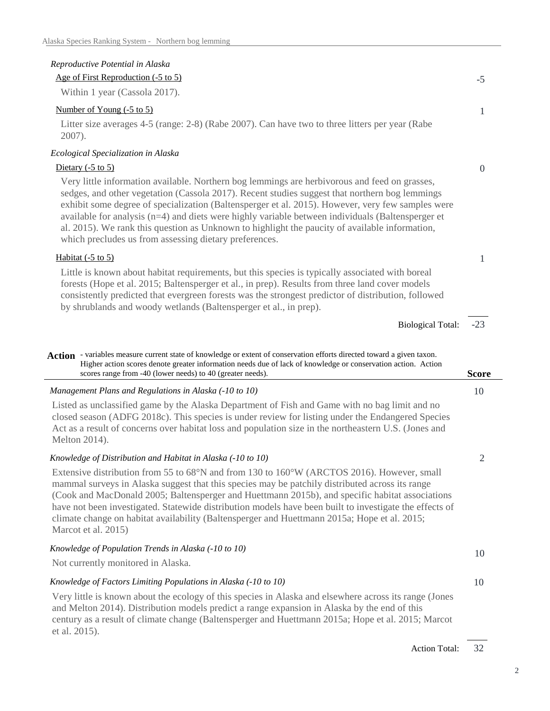et al. 2015).

| Reproductive Potential in Alaska                                                                                                                                                                                                                                                                                                                                                                                                                                                                                                                                      |                |
|-----------------------------------------------------------------------------------------------------------------------------------------------------------------------------------------------------------------------------------------------------------------------------------------------------------------------------------------------------------------------------------------------------------------------------------------------------------------------------------------------------------------------------------------------------------------------|----------------|
| Age of First Reproduction (-5 to 5)                                                                                                                                                                                                                                                                                                                                                                                                                                                                                                                                   | $-5$           |
| Within 1 year (Cassola 2017).                                                                                                                                                                                                                                                                                                                                                                                                                                                                                                                                         |                |
| Number of Young (-5 to 5)                                                                                                                                                                                                                                                                                                                                                                                                                                                                                                                                             | 1              |
| Litter size averages 4-5 (range: 2-8) (Rabe 2007). Can have two to three litters per year (Rabe<br>2007).                                                                                                                                                                                                                                                                                                                                                                                                                                                             |                |
| Ecological Specialization in Alaska                                                                                                                                                                                                                                                                                                                                                                                                                                                                                                                                   |                |
| Dietary $(-5 \text{ to } 5)$                                                                                                                                                                                                                                                                                                                                                                                                                                                                                                                                          | $\Omega$       |
| Very little information available. Northern bog lemmings are herbivorous and feed on grasses,<br>sedges, and other vegetation (Cassola 2017). Recent studies suggest that northern bog lemmings<br>exhibit some degree of specialization (Baltensperger et al. 2015). However, very few samples were<br>available for analysis (n=4) and diets were highly variable between individuals (Baltensperger et<br>al. 2015). We rank this question as Unknown to highlight the paucity of available information,<br>which precludes us from assessing dietary preferences. |                |
| Habitat (-5 to 5)                                                                                                                                                                                                                                                                                                                                                                                                                                                                                                                                                     | 1              |
| Little is known about habitat requirements, but this species is typically associated with boreal<br>forests (Hope et al. 2015; Baltensperger et al., in prep). Results from three land cover models<br>consistently predicted that evergreen forests was the strongest predictor of distribution, followed<br>by shrublands and woody wetlands (Baltensperger et al., in prep).                                                                                                                                                                                       |                |
| <b>Biological Total:</b>                                                                                                                                                                                                                                                                                                                                                                                                                                                                                                                                              | $-23$          |
|                                                                                                                                                                                                                                                                                                                                                                                                                                                                                                                                                                       |                |
| Action - variables measure current state of knowledge or extent of conservation efforts directed toward a given taxon.<br>Higher action scores denote greater information needs due of lack of knowledge or conservation action. Action<br>scores range from -40 (lower needs) to 40 (greater needs).                                                                                                                                                                                                                                                                 | <b>Score</b>   |
| Management Plans and Regulations in Alaska (-10 to 10)                                                                                                                                                                                                                                                                                                                                                                                                                                                                                                                | 10             |
| Listed as unclassified game by the Alaska Department of Fish and Game with no bag limit and no<br>closed season (ADFG 2018c). This species is under review for listing under the Endangered Species<br>Act as a result of concerns over habitat loss and population size in the northeastern U.S. (Jones and<br>Melton 2014).                                                                                                                                                                                                                                         |                |
| Knowledge of Distribution and Habitat in Alaska (-10 to 10)                                                                                                                                                                                                                                                                                                                                                                                                                                                                                                           | $\overline{2}$ |
| Extensive distribution from 55 to 68°N and from 130 to 160°W (ARCTOS 2016). However, small<br>mammal surveys in Alaska suggest that this species may be patchily distributed across its range<br>(Cook and MacDonald 2005; Baltensperger and Huettmann 2015b), and specific habitat associations<br>have not been investigated. Statewide distribution models have been built to investigate the effects of<br>climate change on habitat availability (Baltensperger and Huettmann 2015a; Hope et al. 2015;<br>Marcot et al. 2015)                                    |                |
| Knowledge of Population Trends in Alaska (-10 to 10)                                                                                                                                                                                                                                                                                                                                                                                                                                                                                                                  | 10             |
| Not currently monitored in Alaska.                                                                                                                                                                                                                                                                                                                                                                                                                                                                                                                                    |                |
|                                                                                                                                                                                                                                                                                                                                                                                                                                                                                                                                                                       |                |
| Knowledge of Factors Limiting Populations in Alaska (-10 to 10)                                                                                                                                                                                                                                                                                                                                                                                                                                                                                                       | 10             |

century as a result of climate change (Baltensperger and Huettmann 2015a; Hope et al. 2015; Marcot

32 Action Total:

2